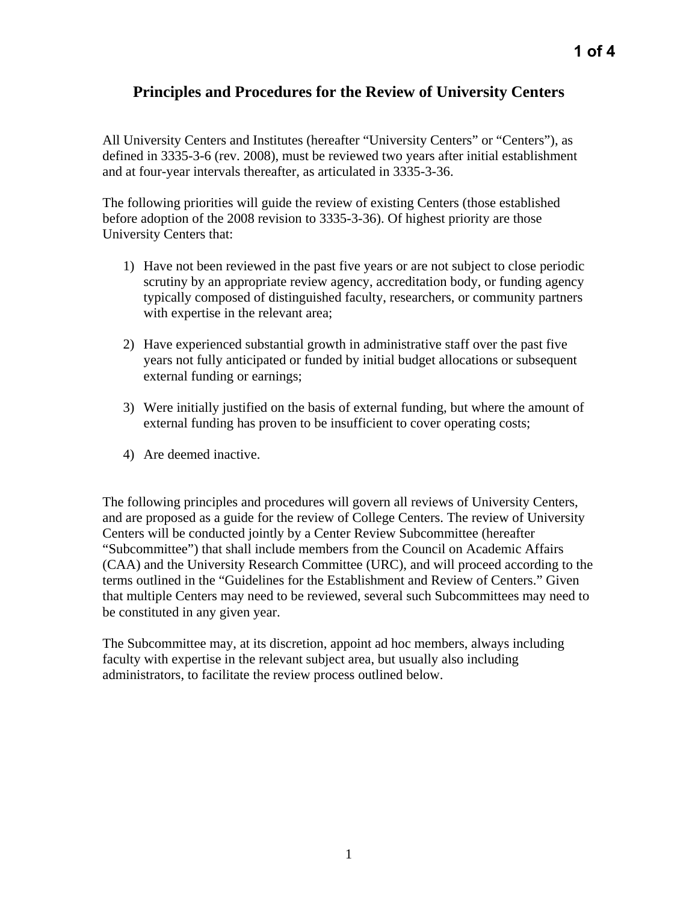## **Principles and Procedures for the Review of University Centers**

All University Centers and Institutes (hereafter "University Centers" or "Centers"), as defined in 3335-3-6 (rev. 2008), must be reviewed two years after initial establishment and at four-year intervals thereafter, as articulated in 3335-3-36.

The following priorities will guide the review of existing Centers (those established before adoption of the 2008 revision to 3335-3-36). Of highest priority are those University Centers that:

- 1) Have not been reviewed in the past five years or are not subject to close periodic scrutiny by an appropriate review agency, accreditation body, or funding agency typically composed of distinguished faculty, researchers, or community partners with expertise in the relevant area;
- 2) Have experienced substantial growth in administrative staff over the past five years not fully anticipated or funded by initial budget allocations or subsequent external funding or earnings;
- 3) Were initially justified on the basis of external funding, but where the amount of external funding has proven to be insufficient to cover operating costs;
- 4) Are deemed inactive.

The following principles and procedures will govern all reviews of University Centers, and are proposed as a guide for the review of College Centers. The review of University Centers will be conducted jointly by a Center Review Subcommittee (hereafter "Subcommittee") that shall include members from the Council on Academic Affairs (CAA) and the University Research Committee (URC), and will proceed according to the terms outlined in the "Guidelines for the Establishment and Review of Centers." Given that multiple Centers may need to be reviewed, several such Subcommittees may need to be constituted in any given year.

The Subcommittee may, at its discretion, appoint ad hoc members, always including faculty with expertise in the relevant subject area, but usually also including administrators, to facilitate the review process outlined below.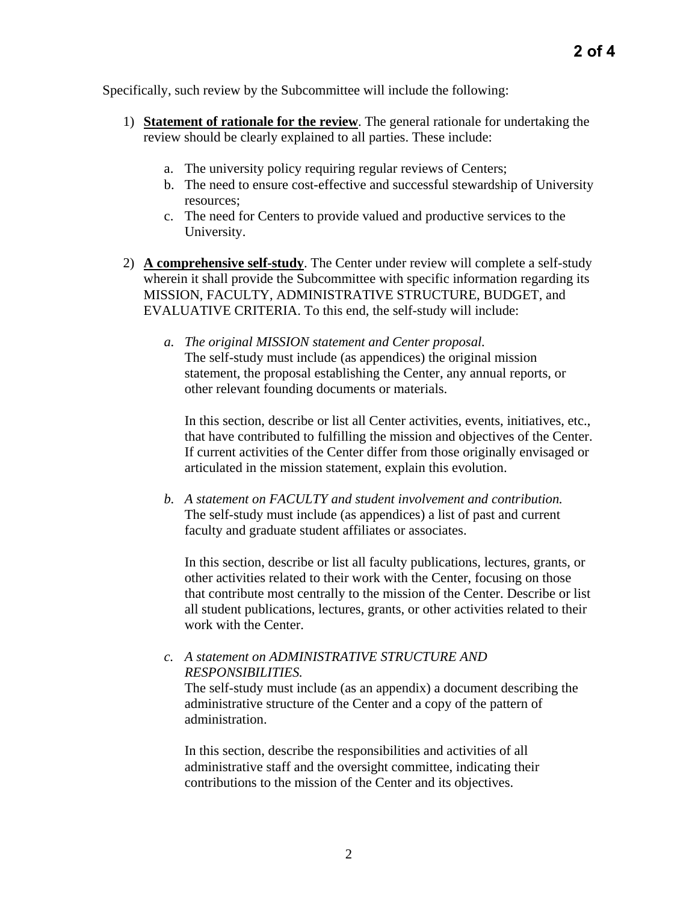Specifically, such review by the Subcommittee will include the following:

- 1) **Statement of rationale for the review**. The general rationale for undertaking the review should be clearly explained to all parties. These include:
	- a. The university policy requiring regular reviews of Centers;
	- b. The need to ensure cost-effective and successful stewardship of University resources;
	- c. The need for Centers to provide valued and productive services to the University.
- 2) **A comprehensive self-study**. The Center under review will complete a self-study wherein it shall provide the Subcommittee with specific information regarding its MISSION, FACULTY, ADMINISTRATIVE STRUCTURE, BUDGET, and EVALUATIVE CRITERIA. To this end, the self-study will include:
	- *a. The original MISSION statement and Center proposal.*  The self-study must include (as appendices) the original mission statement, the proposal establishing the Center, any annual reports, or other relevant founding documents or materials.

In this section, describe or list all Center activities, events, initiatives, etc., that have contributed to fulfilling the mission and objectives of the Center. If current activities of the Center differ from those originally envisaged or articulated in the mission statement, explain this evolution.

*b. A statement on FACULTY and student involvement and contribution.*  The self-study must include (as appendices) a list of past and current faculty and graduate student affiliates or associates.

In this section, describe or list all faculty publications, lectures, grants, or other activities related to their work with the Center, focusing on those that contribute most centrally to the mission of the Center. Describe or list all student publications, lectures, grants, or other activities related to their work with the Center.

## *c. A statement on ADMINISTRATIVE STRUCTURE AND RESPONSIBILITIES.*

The self-study must include (as an appendix) a document describing the administrative structure of the Center and a copy of the pattern of administration.

In this section, describe the responsibilities and activities of all administrative staff and the oversight committee, indicating their contributions to the mission of the Center and its objectives.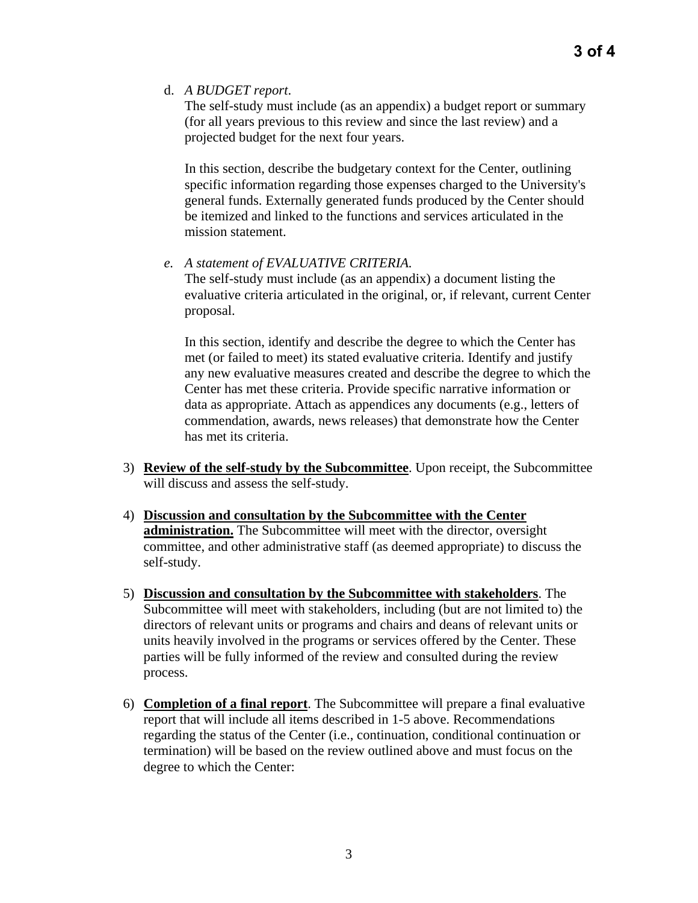d. *A BUDGET report*.

The self-study must include (as an appendix) a budget report or summary (for all years previous to this review and since the last review) and a projected budget for the next four years.

In this section, describe the budgetary context for the Center, outlining specific information regarding those expenses charged to the University's general funds. Externally generated funds produced by the Center should be itemized and linked to the functions and services articulated in the mission statement.

*e. A statement of EVALUATIVE CRITERIA.* 

The self-study must include (as an appendix) a document listing the evaluative criteria articulated in the original, or, if relevant, current Center proposal.

In this section, identify and describe the degree to which the Center has met (or failed to meet) its stated evaluative criteria. Identify and justify any new evaluative measures created and describe the degree to which the Center has met these criteria. Provide specific narrative information or data as appropriate. Attach as appendices any documents (e.g., letters of commendation, awards, news releases) that demonstrate how the Center has met its criteria.

- 3) **Review of the self-study by the Subcommittee**. Upon receipt, the Subcommittee will discuss and assess the self-study.
- 4) **Discussion and consultation by the Subcommittee with the Center administration.** The Subcommittee will meet with the director, oversight committee, and other administrative staff (as deemed appropriate) to discuss the self-study.
- 5) **Discussion and consultation by the Subcommittee with stakeholders**. The Subcommittee will meet with stakeholders, including (but are not limited to) the directors of relevant units or programs and chairs and deans of relevant units or units heavily involved in the programs or services offered by the Center. These parties will be fully informed of the review and consulted during the review process.
- 6) **Completion of a final report**. The Subcommittee will prepare a final evaluative report that will include all items described in 1-5 above. Recommendations regarding the status of the Center (i.e., continuation, conditional continuation or termination) will be based on the review outlined above and must focus on the degree to which the Center: